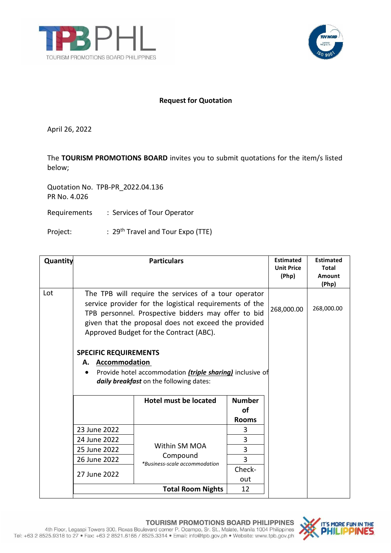



## **Request for Quotation**

April 26, 2022

The **TOURISM PROMOTIONS BOARD** invites you to submit quotations for the item/s listed below;

Quotation No. TPB-PR\_2022.04.136 PR No. 4.026

Requirements : Services of Tour Operator

Project: : 29<sup>th</sup> Travel and Tour Expo (TTE)

| Quantity |                                                                                                                                                                                                                                                                           | <b>Particulars</b>                                         |                   | <b>Estimated</b><br><b>Unit Price</b><br>(Php) | <b>Estimated</b><br><b>Total</b><br><b>Amount</b><br>(Php) |
|----------|---------------------------------------------------------------------------------------------------------------------------------------------------------------------------------------------------------------------------------------------------------------------------|------------------------------------------------------------|-------------------|------------------------------------------------|------------------------------------------------------------|
| Lot      | The TPB will require the services of a tour operator<br>service provider for the logistical requirements of the<br>TPB personnel. Prospective bidders may offer to bid<br>given that the proposal does not exceed the provided<br>Approved Budget for the Contract (ABC). |                                                            |                   | 268,000.00                                     | 268,000.00                                                 |
|          | <b>SPECIFIC REQUIREMENTS</b><br><b>Accommodation</b><br>А.<br>Provide hotel accommodation (triple sharing) inclusive of<br>$\bullet$<br>daily breakfast on the following dates:<br>Hotel must be located<br><b>Number</b><br><b>of</b>                                    |                                                            |                   |                                                |                                                            |
|          | 23 June 2022                                                                                                                                                                                                                                                              |                                                            | <b>Rooms</b><br>3 |                                                |                                                            |
|          | 24 June 2022                                                                                                                                                                                                                                                              | Within SM MOA<br>Compound<br>*Business-scale accommodation | 3                 |                                                |                                                            |
|          | 25 June 2022                                                                                                                                                                                                                                                              |                                                            | 3                 |                                                |                                                            |
|          | 26 June 2022                                                                                                                                                                                                                                                              |                                                            | 3                 |                                                |                                                            |
|          | 27 June 2022                                                                                                                                                                                                                                                              |                                                            | Check-<br>out     |                                                |                                                            |
|          |                                                                                                                                                                                                                                                                           | <b>Total Room Nights</b>                                   | 12                |                                                |                                                            |

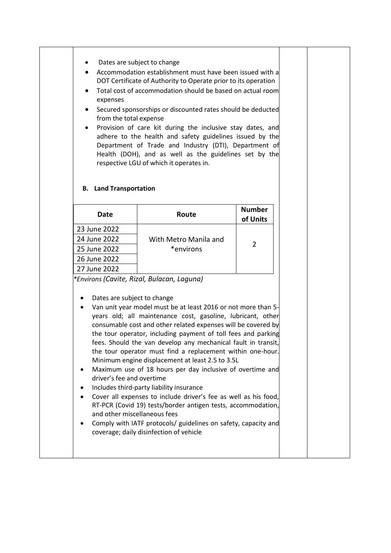## Dates are subject to change

- Accommodation establishment must have been issued with a DOT Certificate of Authority to Operate prior to its operation
- Total cost of accommodation should be based on actual room expenses
- Secured sponsorships or discounted rates should be deducted from the total expense
- Provision of care kit during the inclusive stay dates, and adhere to the health and safety guidelines issued by the Department of Trade and Industry (DTI), Department of Health (DOH), and as well as the guidelines set by the respective LGU of which it operates in.

| Date         | Route                 | <b>Number</b><br>of Units |
|--------------|-----------------------|---------------------------|
| 23 June 2022 |                       |                           |
| 24 June 2022 | With Metro Manila and |                           |
| 25 June 2022 | *environs             |                           |
| 26 June 2022 |                       |                           |
| 27 June 2022 |                       |                           |

## **B. Land Transportation**

*\*Environs (Cavite, Rizal, Bulacan, Laguna)*

- Dates are subject to change
- Van unit year model must be at least 2016 or not more than 5 years old; all maintenance cost, gasoline, lubricant, other consumable cost and other related expenses will be covered by the tour operator, including payment of toll fees and parking fees. Should the van develop any mechanical fault in transit, the tour operator must find a replacement within one-hour. Minimum engine displacement at least 2.5 to 3.5L
- Maximum use of 18 hours per day inclusive of overtime and driver's fee and overtime
- Includes third-party liability insurance
- Cover all expenses to include driver's fee as well as his food, RT-PCR (Covid 19) tests/border antigen tests, accommodation, and other miscellaneous fees
- Comply with IATF protocols/ guidelines on safety, capacity and coverage; daily disinfection of vehicle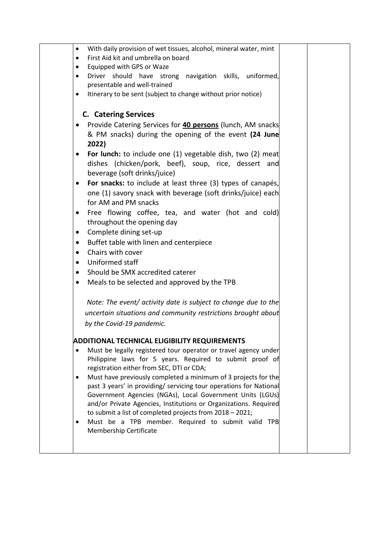| $\bullet$ | With daily provision of wet tissues, alcohol, mineral water, mint                                                            |  |
|-----------|------------------------------------------------------------------------------------------------------------------------------|--|
| $\bullet$ | First Aid kit and umbrella on board                                                                                          |  |
| $\bullet$ | Equipped with GPS or Waze                                                                                                    |  |
| $\bullet$ | Driver should have strong navigation skills, uniformed,                                                                      |  |
|           | presentable and well-trained                                                                                                 |  |
|           | Itinerary to be sent (subject to change without prior notice)                                                                |  |
|           |                                                                                                                              |  |
|           | <b>C.</b> Catering Services                                                                                                  |  |
|           | Provide Catering Services for 40 persons (lunch, AM snacks                                                                   |  |
|           | & PM snacks) during the opening of the event (24 June                                                                        |  |
|           | 2022)                                                                                                                        |  |
| ٠         | For lunch: to include one (1) vegetable dish, two (2) meat                                                                   |  |
|           | dishes (chicken/pork, beef), soup, rice, dessert and                                                                         |  |
|           | beverage (soft drinks/juice)                                                                                                 |  |
| ٠         | For snacks: to include at least three (3) types of canapés,                                                                  |  |
|           | one (1) savory snack with beverage (soft drinks/juice) each                                                                  |  |
|           | for AM and PM snacks                                                                                                         |  |
| $\bullet$ | Free flowing coffee, tea, and water (hot and cold)                                                                           |  |
|           | throughout the opening day                                                                                                   |  |
| $\bullet$ | Complete dining set-up                                                                                                       |  |
| $\bullet$ | Buffet table with linen and centerpiece                                                                                      |  |
| $\bullet$ | Chairs with cover                                                                                                            |  |
| $\bullet$ | Uniformed staff                                                                                                              |  |
| $\bullet$ | Should be SMX accredited caterer                                                                                             |  |
|           |                                                                                                                              |  |
| $\bullet$ | Meals to be selected and approved by the TPB                                                                                 |  |
|           | Note: The event/ activity date is subject to change due to the                                                               |  |
|           | uncertain situations and community restrictions brought about                                                                |  |
|           | by the Covid-19 pandemic.                                                                                                    |  |
|           |                                                                                                                              |  |
|           | ADDITIONAL TECHNICAL ELIGIBILITY REQUIREMENTS                                                                                |  |
| ٠         | Must be legally registered tour operator or travel agency under                                                              |  |
|           | Philippine laws for 5 years. Required to submit proof of                                                                     |  |
|           | registration either from SEC, DTI or CDA;                                                                                    |  |
| ٠         | Must have previously completed a minimum of 3 projects for the                                                               |  |
|           | past 3 years' in providing/ servicing tour operations for National                                                           |  |
|           | Government Agencies (NGAs), Local Government Units (LGUs)                                                                    |  |
|           | and/or Private Agencies, Institutions or Organizations. Required<br>to submit a list of completed projects from 2018 - 2021; |  |
| ٠         | Must be a TPB member. Required to submit valid TPB                                                                           |  |
|           | Membership Certificate                                                                                                       |  |
|           |                                                                                                                              |  |
|           |                                                                                                                              |  |
|           |                                                                                                                              |  |